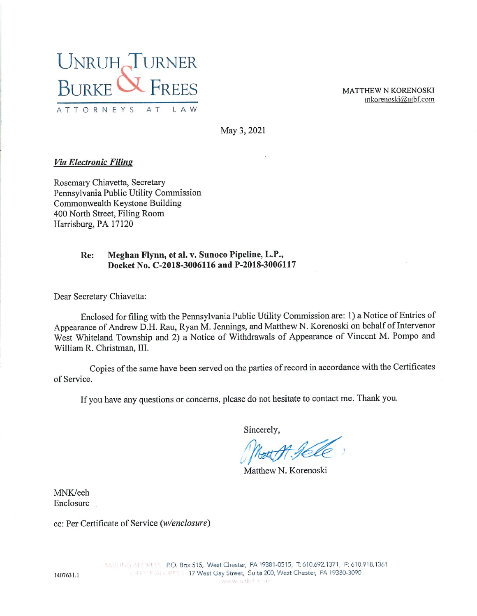

MATTHEW N KORENOSKI mkorenoski@utbf.com

May 3, 2021

### Via Electronic Filing

Rosemary Chiavetta, Secretary Pennsylvania Public Utility Commission Commonwealth Keystone Building 400 North Street, Filing Room Harrisburg, PA 17120

#### Re: Mcghan Flynn, et al. v. Sunoco Pipeline, L.P., Docket No. C-2018-3006116 and P-2018-3006117

Dear Secretary Chiavetta:

Enclosed for filing with the Pennsylvania Public Utility Commission are: 1) a Notice of Entries of Appearance of Andrew D.H. Rau, Ryan M. Jennings, and Matthew N. Korenoski on behalf of Intervenor West Whlteland Township and 2) a Notice of Withdrawals of Appearance of Vincent M. Pompo and William R. Christman, III.

Copies of the same have been served on the parties of record in accordance with the Certificates of Service.

If you have any questions or concerns, please do not hesitate to contact me. Thank you.

Sincerely,

Not M. Jele

Matthew N. Korenoski

MNK/eeh Enclosure

ec: Per Certificate of Service (w/enclosure}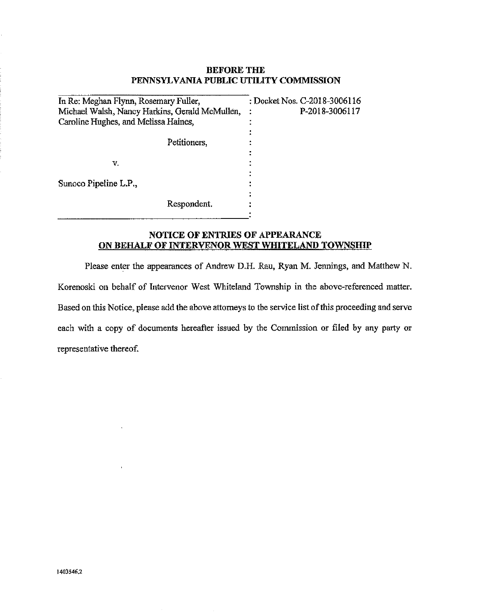### BEFORE THE PENNSYLVANIA PUBLIC UTILITY COMMISSION

| In Re: Meghan Flynn, Rosemary Fuller,          | : Docket Nos. C-2018-3006116 |
|------------------------------------------------|------------------------------|
| Michael Walsh, Nancy Harkins, Gerald McMullen, | P-2018-3006117               |
| Caroline Hughes, and Melissa Haines,           |                              |
|                                                |                              |
| Petitioners,                                   |                              |
|                                                |                              |
| v.                                             |                              |
|                                                |                              |
| Sunoco Pipeline L.P.,                          |                              |
|                                                |                              |
| Respondent.                                    |                              |
|                                                |                              |

## NOTICE OF ENTRIES OF APPEARANCE ON BEHALF OF INTERVENOR WEST WHITELAND TOWNSHIP

Please enter the appearances of Andrew D.H. Rau, Ryan M. Jennings, and Matthew N. Korenoski on behalf of Intervenor West Whiteland Township in the above-referenced matter. Based on this Notice, please add the above attorneys to the service list of this proceeding and serve each with a copy of documents hereafter issued by the Commission or filed by any party or representative thereof.

 $\overline{\phantom{a}}$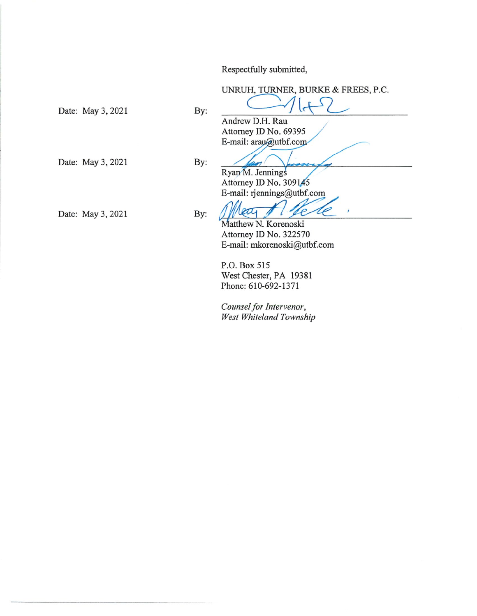Respectfully submitted,

UNRUH, TURNER, BURKE & FREES, P.C.

Date: May 3, 2021 By:

Andrew D.H. Rau Attorney ID No. 69395 E-mail: arau@utbf.com

Date: May 3, 2021 By:

Date: May 3, 2021 By:

Ryan M. Jennings Attorney ID No. 309145 E-mail: rjennings@utbf.com

Mear 1 /

Attorney ID No. 322570 E-mail: mkorenoski@utbf.com

P.O. Box 515 West Chester, PA 19381 Phone: 610-692-1371

Counsel for Intervenor, West Whiteland Township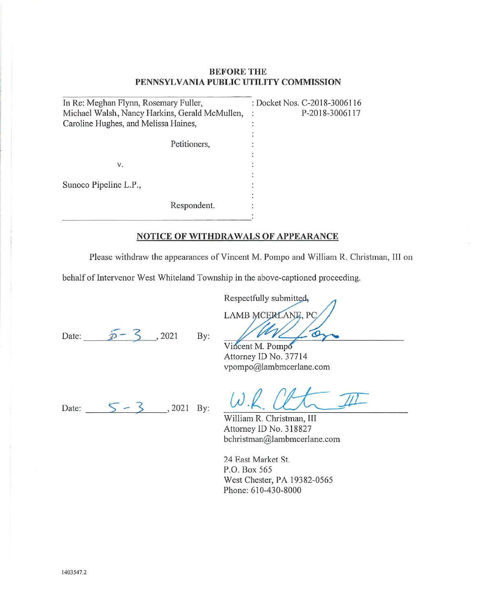### BEFORE THE PENNSYLVANIA PUBLIC UTILITY COMMISSION

| In Re: Meghan Flynn, Rosemary Fuller,          |              | : Docket Nos. C-2018-3006116 |
|------------------------------------------------|--------------|------------------------------|
| Michael Walsh, Nancy Harkins, Gerald McMullen, |              | P-2018-3006117               |
| Caroline Hughes, and Melissa Haines,           |              |                              |
|                                                |              |                              |
|                                                | Petitioners, |                              |
|                                                |              |                              |
| v.                                             |              |                              |
|                                                |              |                              |
| Sunoco Pipeline L.P.,                          |              |                              |
|                                                |              |                              |
|                                                | Respondent.  |                              |
|                                                |              |                              |

### NOTICE OF WITHDRAWALS OF APPEARANCE

Please withdraw the appearances of Vincent M. Pompo and William R, Christman, III on

behalf of Intervenor West Whiteland Township in the above-captioned proceeding.

Date:  $\overline{D} - 3$ , 2021 By: //M//

Respectfully submitted, LAMB MCERLANE, PC

Vincent M. Pompo Attorney ID No. 37714 vpompo@lambmcerlane.com

Date:  $5 - 3$ , 2021 By:

 $\omega$ .

William R.Christman, III Attorney ID No. 318827 bchristman@lambmcerlane.com

24 East Market St. P.O. Box 565 West Chester, PA 19382-0565 Phone: 610-430-8000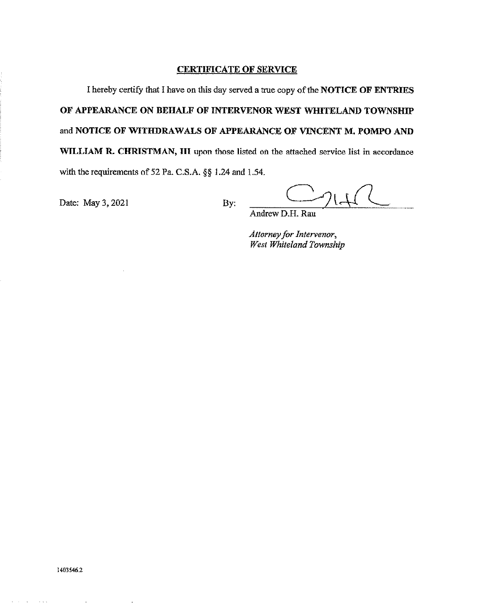#### **CERTIFICATE OF SERVICE**

I hereby certify that I have on this day served a true copy of the NOTICE OF ENTRIES OF APPEARANCE ON BEHALF OF INTERVENOR WEST WHITCLAND TOWNSHIP and NOTICE OF WITHDRAWALS OF APPEARANCE OF VINCENT M. POMPO AND WILLIAM R. CHRISTMAN, III upon those listed on the attached service list in accordance with the requirements of 52 Pa. C.SA. §§ 1.24 and 1.54.

Date: May 3, 2021 By:

 $C_{71}$ 

Andrew D.H. Rau

Attorney for Intervenor, West Whiteland Township

1403546.2

 $\Delta \sim 10^4$ 

وتوارد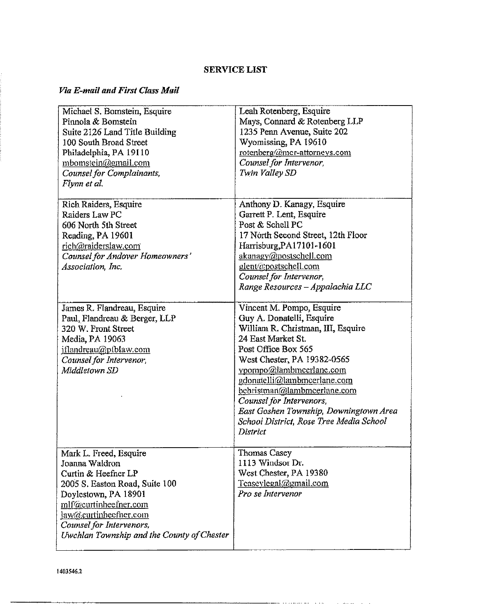# **SERVICE LIST**

# Via E-mail and First Class Mail

| Michael S. Bomstein, Esquire<br>Pinnola & Bomstein<br>Suite 2126 Land Title Building<br>100 South Broad Street<br>Philadelphia, PA 19110<br>mbomstein@gmail.com<br>Counsel for Complainants,<br>Flynn et al.                                          | Leah Rotenberg, Esquire<br>Mays, Connard & Rotenberg LLP<br>1235 Penn Avenue, Suite 202<br>Wyomissing, PA 19610<br>rotenberg@mcr-attorneys.com<br>Counsel for Intervenor,<br>Twin Valley SD                                                                                                                                                                                                    |
|-------------------------------------------------------------------------------------------------------------------------------------------------------------------------------------------------------------------------------------------------------|------------------------------------------------------------------------------------------------------------------------------------------------------------------------------------------------------------------------------------------------------------------------------------------------------------------------------------------------------------------------------------------------|
| Rich Raiders, Esquire<br>Raiders Law PC<br>606 North 5th Street<br>Reading, PA 19601<br>rich@raiderslaw.com<br>Counsel for Andover Homeowners'<br>Association, Inc.                                                                                   | Anthony D. Kanagy, Esquire<br>Garrett P. Lent, Esquire<br>Post & Schell PC<br>17 North Second Street, 12th Floor<br>Harrisburg, PA17101-1601<br>akanagy@postschell.com<br>glent@postschell.com<br>Counsel for Intervenor,<br>Range Resources - Appalachia LLC                                                                                                                                  |
| James R. Flandreau, Esquire<br>Paul, Flandreau & Berger, LLP<br>320 W. Front Street<br>Media, PA 19063<br>iflandreau@piblaw.com<br>Counsel for Intervenor,<br>Middletown SD                                                                           | Vincent M. Pompo, Esquire<br>Guy A. Donatelli, Esquire<br>William R. Christman, III, Esquire<br>24 East Market St.<br>Post Office Box 565<br>West Chester, PA 19382-0565<br>vpompo@lambmcerlane.com<br>gdonatelli@lambmcerlane.com<br>behristman@lambmeerlane.com<br>Counsel for Intervenors,<br>East Goshen Township, Downingtown Area<br>School District, Rose Tree Media School<br>District |
| Mark L. Freed, Esquire<br>Joanna Waldron<br>Curtin & Heefner LP<br>2005 S. Easton Road, Suite 100<br>Doylestown, PA 18901<br>mlf@curtinheefner.com<br>jaw@curtinheefner.com<br>Counsel for Intervenors,<br>Uwchlan Township and the County of Chester | Thomas Casey<br>1113 Windsor Dr.<br>West Chester, PA 19380<br>Teaseylegal@gmail.com<br>Pro se Intervenor                                                                                                                                                                                                                                                                                       |

**Contract Contract** 

 $\sim$   $\sim$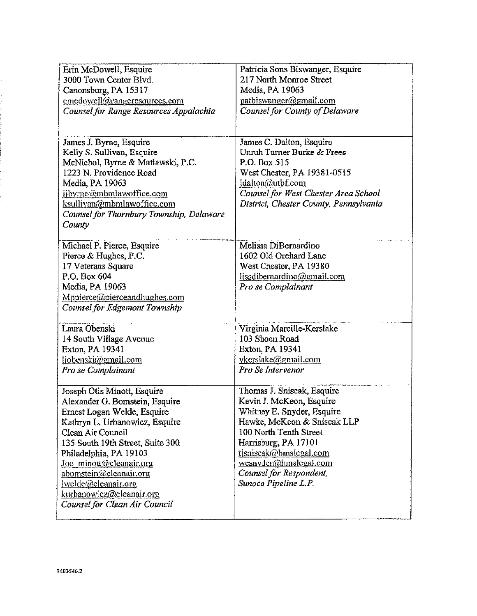| Erin McDowell, Esquire                   | Patricia Sons Biswanger, Esquire       |
|------------------------------------------|----------------------------------------|
| 3000 Town Center Blvd.                   | 217 North Monroe Street                |
| Canonsburg, PA 15317                     | Media, PA 19063                        |
| emedowell@rangeresources.com             | patbiswanger@gmail.com                 |
| Counsel for Range Resources Appalachia   | Counsel for County of Delaware         |
|                                          |                                        |
|                                          |                                        |
| James J. Byrne, Esquire                  | James C. Dalton, Esquire               |
| Kelly S. Sullivan, Esquire               | Unruh Turner Burke & Frees             |
| McNichol, Byrne & Matlawski, P.C.        | P.O. Box 515                           |
| 1223 N. Providence Road                  | West Chester, PA 19381-0515            |
| Media, PA 19063                          | jdalton@utbf.com                       |
| jbyrne:@mbmlawoffice.com                 | Counsel for West Chester Area School   |
| ksullivan@mbmlawoffice.com               | District, Chester County, Pennsylvania |
| Counsel for Thornbury Township, Delaware |                                        |
| County                                   |                                        |
|                                          |                                        |
| Michael P. Pierce, Esquire               | Melissa DiBernardino                   |
| Pierce & Hughes, P.C.                    | 1602 Old Orchard Lane                  |
| 17 Veterans Square                       | West Chester, PA 19380                 |
| P.O. Box 604                             | lissdibernardino@email.com             |
| Media, PA 19063                          | Pro se Complainant                     |
| Mppierce@pierceandhughes.com             |                                        |
| Counsel for Edgemont Township            |                                        |
| Laura Obenski                            | Virginia Marcille-Kerslake             |
| 14 South Village Avenue                  | 103 Shoen Road                         |
| Exton, PA 19341                          | Exton, PA 19341                        |
| ljobenski@gmail.com                      | ykerslake@gmail.com                    |
| Pro se Complainant                       | Pro Se Intervenor                      |
|                                          |                                        |
| Joseph Otis Minott, Esquire              | Thomas J. Sniscak, Esquire             |
| Alexander G. Bomstein, Esquire           | Kevin J. McKeon, Esquire               |
| Ernest Logan Welde, Esquire              | Whitney E. Snyder, Esquire             |
| Kathryn L. Urbanowicz, Esquire           | Hawke, McKeon & Sniscak LLP            |
| Clean Air Council                        | 100 North Tenth Street                 |
| 135 South 19th Street, Suite 300         | Harrisburg, PA 17101                   |
| Philadelphia, PA 19103                   | tisniscak@hmslegal.com                 |
| loc minott@cleanair.org                  | wesnyder@hmslegal.com                  |
| abomstein@cleanair.org                   | Counsel for Respondent,                |
| welde@cleanair.org                       | Sunoco Pipeline L.P.                   |
| kurbanowicz@cleanair.org                 |                                        |
| Counsel for Clean Air Council            |                                        |
|                                          |                                        |